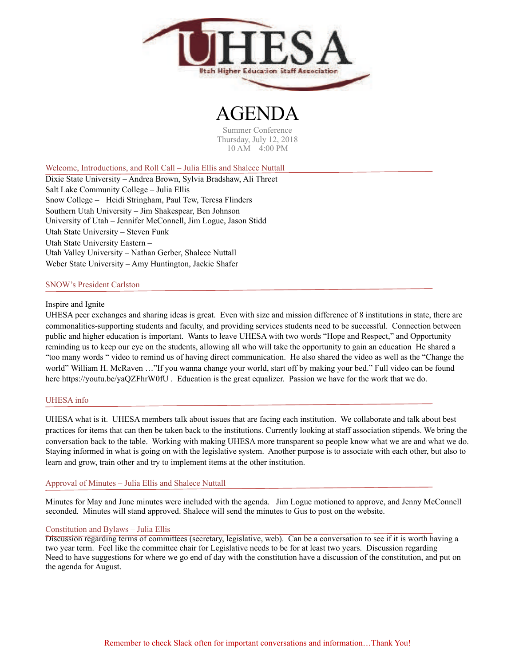

# 7E)

Summer Conference Thursday, July 12, 2018 10 AM – 4:00 PM

Welcome, Introductions, and Roll Call – Julia Ellis and Shalece Nuttall

Dixie State University – Andrea Brown, Sylvia Bradshaw, Ali Threet Salt Lake Community College – Julia Ellis Snow College – Heidi Stringham, Paul Tew, Teresa Flinders Southern Utah University – Jim Shakespear, Ben Johnson University of Utah – Jennifer McConnell, Jim Logue, Jason Stidd Utah State University – Steven Funk Utah State University Eastern – Utah Valley University – Nathan Gerber, Shalece Nuttall Weber State University – Amy Huntington, Jackie Shafer

## SNOW's President Carlston

## Inspire and Ignite

UHESA peer exchanges and sharing ideas is great. Even with size and mission difference of 8 institutions in state, there are commonalities-supporting students and faculty, and providing services students need to be successful. Connection between public and higher education is important. Wants to leave UHESA with two words "Hope and Respect," and Opportunity reminding us to keep our eye on the students, allowing all who will take the opportunity to gain an education He shared a ["too many words](https://youtu.be/roNSCTmGdDY) " video to remind us of having direct communication. He also shared the video as well as the "Change the world" William H. McRaven …"If you wanna change your world, start off by making your bed." Full video can be found here <https://youtu.be/yaQZFhrW0fU>. Education is the great equalizer. Passion we have for the work that we do.

## UHESA info

UHESA what is it. UHESA members talk about issues that are facing each institution. We collaborate and talk about best practices for items that can then be taken back to the institutions. Currently looking at staff association stipends. We bring the conversation back to the table. Working with making UHESA more transparent so people know what we are and what we do. Staying informed in what is going on with the legislative system. Another purpose is to associate with each other, but also to learn and grow, train other and try to implement items at the other institution.

#### Approval of Minutes – Julia Ellis and Shalece Nuttall

Minutes for May and June minutes were included with the agenda. Jim Logue motioned to approve, and Jenny McConnell seconded. Minutes will stand approved. Shalece will send the minutes to Gus to post on the website.

#### Constitution and Bylaws – Julia Ellis

Discussion regarding terms of committees (secretary, legislative, web). Can be a conversation to see if it is worth having a two year term. Feel like the committee chair for Legislative needs to be for at least two years. Discussion regarding Need to have suggestions for where we go end of day with the constitution have a discussion of the constitution, and put on the agenda for August.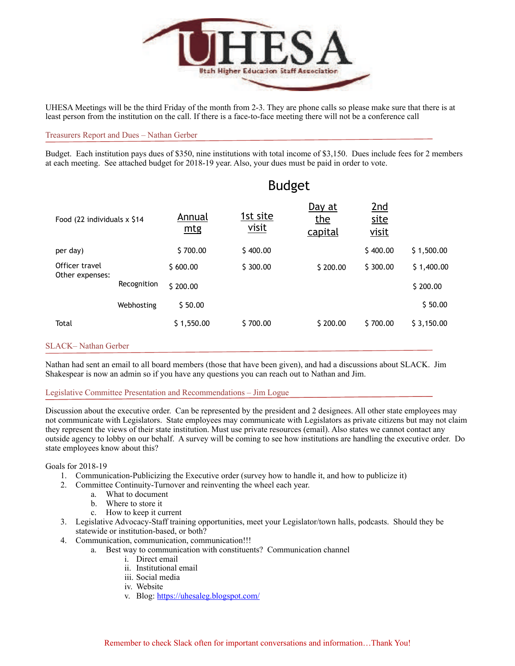

UHESA Meetings will be the third Friday of the month from 2-3. They are phone calls so please make sure that there is at least person from the institution on the call. If there is a face-to-face meeting there will not be a conference call

#### Treasurers Report and Dues – Nathan Gerber

Budget. Each institution pays dues of \$350, nine institutions with total income of \$3,150. Dues include fees for 2 members at each meeting. See attached budget for 2018-19 year. Also, your dues must be paid in order to vote.

| <b>Budget</b>                  |               |                   |                                 |                      |            |
|--------------------------------|---------------|-------------------|---------------------------------|----------------------|------------|
| Food (22 individuals x \$14)   | Annual<br>mtg | 1st site<br>visit | Day at<br>the<br><u>capital</u> | 2nd<br>site<br>visit |            |
|                                | \$700.00      | \$400.00          |                                 | \$400.00             | \$1,500.00 |
|                                | \$600.00      | \$300.00          | \$200.00                        | \$300.00             | \$1,400.00 |
| Other expenses:<br>Recognition | \$200.00      |                   |                                 |                      | \$200.00   |
| Webhosting                     | \$50.00       |                   |                                 |                      | \$50.00    |
|                                | \$1,550.00    | \$700.00          | \$200.00                        | \$700.00             | \$3,150.00 |
|                                |               |                   |                                 |                      |            |

#### SLACK– Nathan Gerber

Nathan had sent an email to all board members (those that have been given), and had a discussions about SLACK. Jim Shakespear is now an admin so if you have any questions you can reach out to Nathan and Jim.

#### Legislative Committee Presentation and Recommendations – Jim Logue

Discussion about the executive order. Can be represented by the president and 2 designees. All other state employees may not communicate with Legislators. State employees may communicate with Legislators as private citizens but may not claim they represent the views of their state institution. Must use private resources (email). Also states we cannot contact any outside agency to lobby on our behalf. A survey will be coming to see how institutions are handling the executive order. Do state employees know about this?

#### Goals for 2018-19

- 1. Communication-Publicizing the Executive order (survey how to handle it, and how to publicize it)
- 2. Committee Continuity-Turnover and reinventing the wheel each year.
	- a. What to document
		- b. Where to store it
		- c. How to keep it current
- 3. Legislative Advocacy-Staff training opportunities, meet your Legislator/town halls, podcasts. Should they be statewide or institution-based, or both?
- 4. Communication, communication, communication!!!
	- a. Best way to communication with constituents? Communication channel
		- i. Direct email
		- ii. Institutional email
		- iii. Social media
		- iv. Website
		- v. Blog: <https://uhesaleg.blogspot.com/>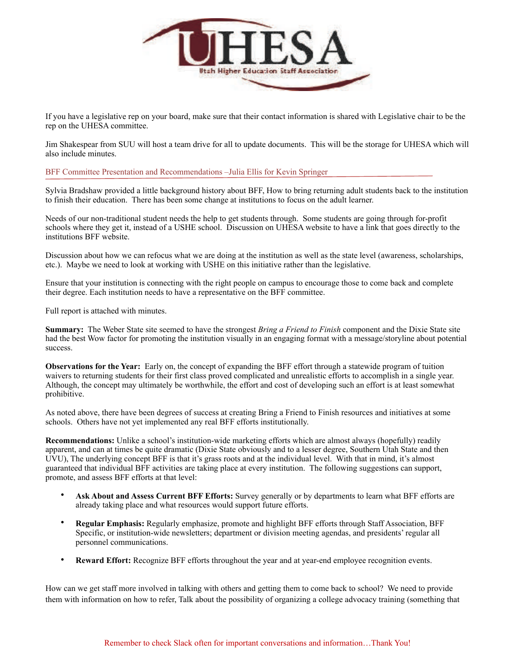

If you have a legislative rep on your board, make sure that their contact information is shared with Legislative chair to be the rep on the UHESA committee.

Jim Shakespear from SUU will host a team drive for all to update documents. This will be the storage for UHESA which will also include minutes.

BFF Committee Presentation and Recommendations –Julia Ellis for Kevin Springer

Sylvia Bradshaw provided a little background history about BFF, How to bring returning adult students back to the institution to finish their education. There has been some change at institutions to focus on the adult learner.

Needs of our non-traditional student needs the help to get students through. Some students are going through for-profit schools where they get it, instead of a USHE school. Discussion on UHESA website to have a link that goes directly to the institutions BFF website.

Discussion about how we can refocus what we are doing at the institution as well as the state level (awareness, scholarships, etc.). Maybe we need to look at working with USHE on this initiative rather than the legislative.

Ensure that your institution is connecting with the right people on campus to encourage those to come back and complete their degree. Each institution needs to have a representative on the BFF committee.

Full report is attached with minutes.

**Summary:** The Weber State site seemed to have the strongest *Bring a Friend to Finish* component and the Dixie State site had the best Wow factor for promoting the institution visually in an engaging format with a message/storyline about potential success.

**Observations for the Year:** Early on, the concept of expanding the BFF effort through a statewide program of tuition waivers to returning students for their first class proved complicated and unrealistic efforts to accomplish in a single year. Although, the concept may ultimately be worthwhile, the effort and cost of developing such an effort is at least somewhat prohibitive.

As noted above, there have been degrees of success at creating Bring a Friend to Finish resources and initiatives at some schools. Others have not yet implemented any real BFF efforts institutionally.

**Recommendations:** Unlike a school's institution-wide marketing efforts which are almost always (hopefully) readily apparent, and can at times be quite dramatic (Dixie State obviously and to a lesser degree, Southern Utah State and then UVU), The underlying concept BFF is that it's grass roots and at the individual level. With that in mind, it's almost guaranteed that individual BFF activities are taking place at every institution. The following suggestions can support, promote, and assess BFF efforts at that level:

- **Ask About and Assess Current BFF Efforts:** Survey generally or by departments to learn what BFF efforts are already taking place and what resources would support future efforts.
- **Regular Emphasis:** Regularly emphasize, promote and highlight BFF efforts through Staff Association, BFF Specific, or institution-wide newsletters; department or division meeting agendas, and presidents' regular all personnel communications.
- **Reward Effort:** Recognize BFF efforts throughout the year and at year-end employee recognition events.

How can we get staff more involved in talking with others and getting them to come back to school? We need to provide them with information on how to refer, Talk about the possibility of organizing a college advocacy training (something that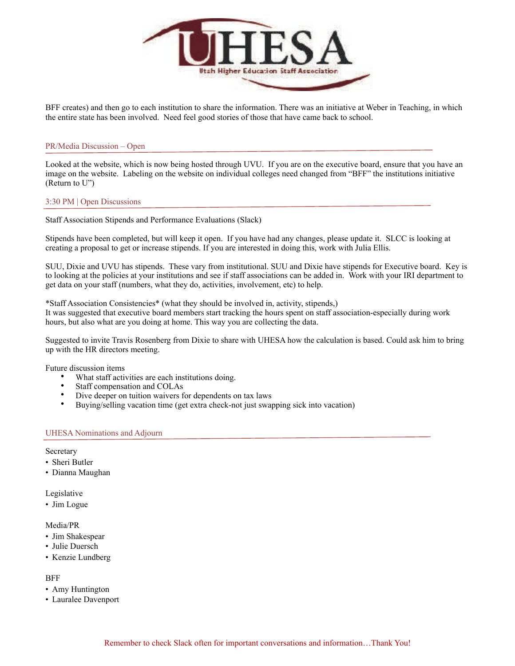

BFF creates) and then go to each institution to share the information. There was an initiative at Weber in Teaching, in which the entire state has been involved. Need feel good stories of those that have came back to school.

#### PR/Media Discussion – Open

Looked at the website, which is now being hosted through UVU. If you are on the executive board, ensure that you have an image on the website. Labeling on the website on individual colleges need changed from "BFF" the institutions initiative (Return to U")

#### 3:30 PM | Open Discussions

Staff Association Stipends and Performance Evaluations (Slack)

Stipends have been completed, but will keep it open. If you have had any changes, please update it. SLCC is looking at creating a proposal to get or increase stipends. If you are interested in doing this, work with Julia Ellis.

SUU, Dixie and UVU has stipends. These vary from institutional. SUU and Dixie have stipends for Executive board. Key is to looking at the policies at your institutions and see if staff associations can be added in. Work with your IRI department to get data on your staff (numbers, what they do, activities, involvement, etc) to help.

\*Staff Association Consistencies\* (what they should be involved in, activity, stipends,) It was suggested that executive board members start tracking the hours spent on staff association-especially during work hours, but also what are you doing at home. This way you are collecting the data.

Suggested to invite Travis Rosenberg from Dixie to share with UHESA how the calculation is based. Could ask him to bring up with the HR directors meeting.

Future discussion items

- What staff activities are each institutions doing.
- Staff compensation and COLAs
- Dive deeper on tuition waivers for dependents on tax laws
- Buying/selling vacation time (get extra check-not just swapping sick into vacation)

#### UHESA Nominations and Adjourn

**Secretary** 

- Sheri Butler
- Dianna Maughan

Legislative

• Jim Logue

#### Media/PR

- Jim Shakespear
- Julie Duersch
- Kenzie Lundberg

## **BFF**

- Amy Huntington
- Lauralee Davenport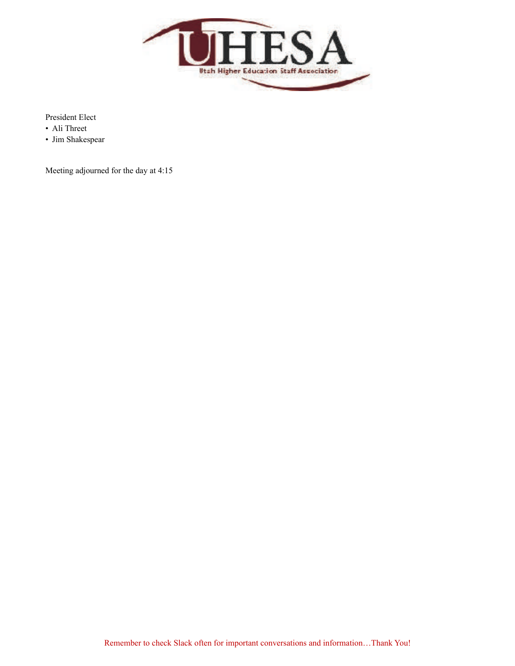

President Elect

- Ali Threet
- Jim Shakespear

Meeting adjourned for the day at 4:15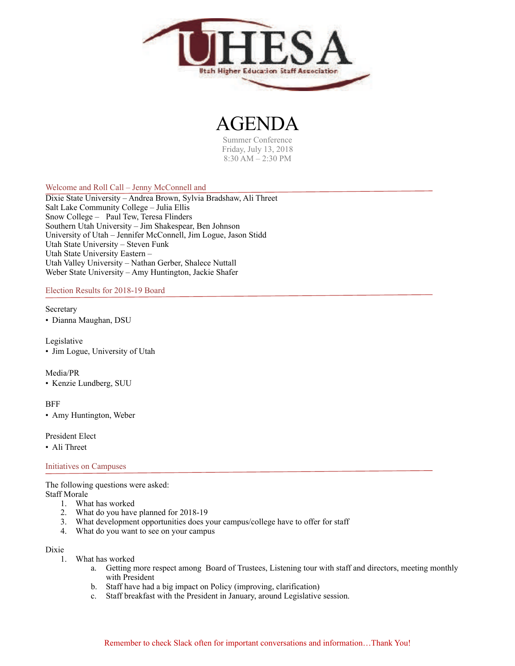

## AGENDA

Summer Conference Friday, July 13, 2018 8:30 AM – 2:30 PM

## Welcome and Roll Call – Jenny McConnell and

Dixie State University – Andrea Brown, Sylvia Bradshaw, Ali Threet Salt Lake Community College – Julia Ellis Snow College – Paul Tew, Teresa Flinders Southern Utah University – Jim Shakespear, Ben Johnson University of Utah – Jennifer McConnell, Jim Logue, Jason Stidd Utah State University – Steven Funk Utah State University Eastern – Utah Valley University – Nathan Gerber, Shalece Nuttall Weber State University – Amy Huntington, Jackie Shafer

Election Results for 2018-19 Board

#### Secretary

• Dianna Maughan, DSU

Legislative • Jim Logue, University of Utah

#### Media/PR

• Kenzie Lundberg, SUU

#### **BFF**

• Amy Huntington, Weber

#### President Elect

• Ali Threet

#### Initiatives on Campuses

The following questions were asked: Staff Morale

- 1. What has worked
- 2. What do you have planned for 2018-19
- 3. What development opportunities does your campus/college have to offer for staff
- 4. What do you want to see on your campus

#### Dixie

- 1. What has worked
	- a. Getting more respect among Board of Trustees, Listening tour with staff and directors, meeting monthly with President
	- b. Staff have had a big impact on Policy (improving, clarification)
	- c. Staff breakfast with the President in January, around Legislative session.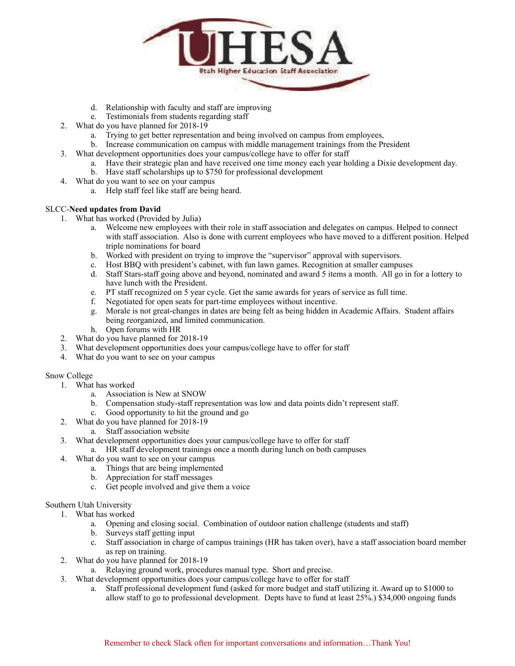

- d. Relationship with faculty and staff are improving
- e. Testimonials from students regarding staff
- 2. What do you have planned for 2018-19
	- a. Trying to get better representation and being involved on campus from employees,
	- b. Increase communication on campus with middle management trainings from the President
- 3. What development opportunities does your campus/college have to offer for staff
	- a. Have their strategic plan and have received one time money each year holding a Dixie development day.
	- b. Have staff scholarships up to \$750 for professional development
- 4. What do you want to see on your campus
	- a. Help staff feel like staff are being heard.

## SLCC-**Need updates from David**

- 1. What has worked (Provided by Julia)
	- a. Welcome new employees with their role in staff association and delegates on campus. Helped to connect with staff association. Also is done with current employees who have moved to a different position. Helped triple nominations for board
	- b. Worked with president on trying to improve the "supervisor" approval with supervisors.
	- c. Host BBQ with president's cabinet, with fun lawn games. Recognition at smaller campuses
	- d. Staff Stars-staff going above and beyond, nominated and award 5 items a month. All go in for a lottery to have lunch with the President.
	- e. PT staff recognized on 5 year cycle. Get the same awards for years of service as full time.
	- f. Negotiated for open seats for part-time employees without incentive.
	- g. Morale is not great-changes in dates are being felt as being hidden in Academic Affairs. Student affairs being reorganized, and limited communication.
	- h. Open forums with HR
- 2. What do you have planned for 2018-19
- 3. What development opportunities does your campus/college have to offer for staff
- 4. What do you want to see on your campus

## Snow College

- 1. What has worked
	- a. Association is New at SNOW
	- b. Compensation study-staff representation was low and data points didn't represent staff.
	- c. Good opportunity to hit the ground and go
- 2. What do you have planned for 2018-19
	- a. Staff association website
- 3. What development opportunities does your campus/college have to offer for staff
	- a. HR staff development trainings once a month during lunch on both campuses
- 4. What do you want to see on your campus
	- a. Things that are being implemented
	- b. Appreciation for staff messages
	- c. Get people involved and give them a voice

## Southern Utah University

- 1. What has worked
	- a. Opening and closing social. Combination of outdoor nation challenge (students and staff)
	- b. Surveys staff getting input
	- c. Staff association in charge of campus trainings (HR has taken over), have a staff association board member as rep on training.
- 2. What do you have planned for 2018-19
	- a. Relaying ground work, procedures manual type. Short and precise.
- 3. What development opportunities does your campus/college have to offer for staff
	- a. Staff professional development fund (asked for more budget and staff utilizing it. Award up to \$1000 to allow staff to go to professional development. Depts have to fund at least 25%.) \$34,000 ongoing funds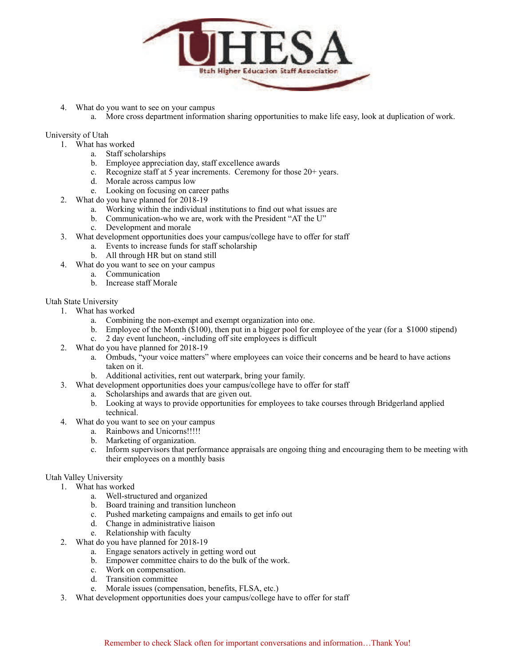

- 4. What do you want to see on your campus
	- a. More cross department information sharing opportunities to make life easy, look at duplication of work.

### University of Utah

- 1. What has worked
	- a. Staff scholarships
	- b. Employee appreciation day, staff excellence awards
	- c. Recognize staff at 5 year increments. Ceremony for those 20+ years.
	- d. Morale across campus low
	- e. Looking on focusing on career paths
- 2. What do you have planned for 2018-19
	- a. Working within the individual institutions to find out what issues are
	- b. Communication-who we are, work with the President "AT the U"
	- c. Development and morale
- 3. What development opportunities does your campus/college have to offer for staff
	- a. Events to increase funds for staff scholarship
	- b. All through HR but on stand still
- 4. What do you want to see on your campus
	- a. Communication
	- b. Increase staff Morale

#### Utah State University

- 1. What has worked
	- a. Combining the non-exempt and exempt organization into one.
	- b. Employee of the Month (\$100), then put in a bigger pool for employee of the year (for a \$1000 stipend)
	- c. 2 day event luncheon, -including off site employees is difficult
- 2. What do you have planned for 2018-19
	- a. Ombuds, "your voice matters" where employees can voice their concerns and be heard to have actions taken on it.
	- b. Additional activities, rent out waterpark, bring your family.
- 3. What development opportunities does your campus/college have to offer for staff
	- a. Scholarships and awards that are given out.
	- b. Looking at ways to provide opportunities for employees to take courses through Bridgerland applied technical.
- 4. What do you want to see on your campus
	- a. Rainbows and Unicorns!!!!!
	- b. Marketing of organization.
	- c. Inform supervisors that performance appraisals are ongoing thing and encouraging them to be meeting with their employees on a monthly basis

## Utah Valley University

- 1. What has worked
	- a. Well-structured and organized
	- b. Board training and transition luncheon
	- c. Pushed marketing campaigns and emails to get info out
	- d. Change in administrative liaison
	- e. Relationship with faculty
- 2. What do you have planned for 2018-19
	- a. Engage senators actively in getting word out
	- b. Empower committee chairs to do the bulk of the work.
	- c. Work on compensation.
	- d. Transition committee
	- e. Morale issues (compensation, benefits, FLSA, etc.)
- 3. What development opportunities does your campus/college have to offer for staff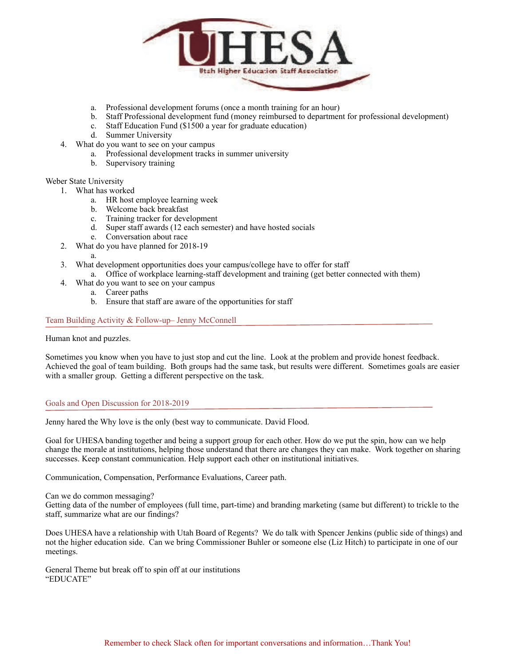

- a. Professional development forums (once a month training for an hour)
- b. Staff Professional development fund (money reimbursed to department for professional development)
- c. Staff Education Fund (\$1500 a year for graduate education)
- d. Summer University
- 4. What do you want to see on your campus
	- a. Professional development tracks in summer university
	- b. Supervisory training

#### Weber State University

- 1. What has worked
	- a. HR host employee learning week
	- b. Welcome back breakfast
	- c. Training tracker for development
	- d. Super staff awards (12 each semester) and have hosted socials
	- e. Conversation about race
- 2. What do you have planned for 2018-19
- 

a.

- 3. What development opportunities does your campus/college have to offer for staff
	- a. Office of workplace learning-staff development and training (get better connected with them)
- 4. What do you want to see on your campus
	- a. Career paths
	- b. Ensure that staff are aware of the opportunities for staff

Team Building Activity & Follow-up– Jenny McConnell

Human knot and puzzles.

Sometimes you know when you have to just stop and cut the line. Look at the problem and provide honest feedback. Achieved the goal of team building. Both groups had the same task, but results were different. Sometimes goals are easier with a smaller group. Getting a different perspective on the task.

#### Goals and Open Discussion for 2018-2019

Jenny hared the Why love is the only (best way to communicate. David Flood.

Goal for UHESA banding together and being a support group for each other. How do we put the spin, how can we help change the morale at institutions, helping those understand that there are changes they can make. Work together on sharing successes. Keep constant communication. Help support each other on institutional initiatives.

Communication, Compensation, Performance Evaluations, Career path.

Can we do common messaging?

Getting data of the number of employees (full time, part-time) and branding marketing (same but different) to trickle to the staff, summarize what are our findings?

Does UHESA have a relationship with Utah Board of Regents? We do talk with Spencer Jenkins (public side of things) and not the higher education side. Can we bring Commissioner Buhler or someone else (Liz Hitch) to participate in one of our meetings.

General Theme but break off to spin off at our institutions "EDUCATE"